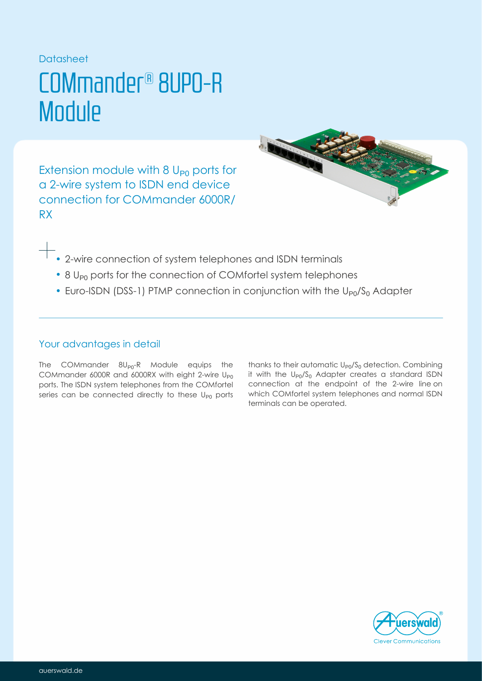### Datasheet

## COMmander® 8UP0-R **Module**

Extension module with  $8 U_{p0}$  ports for a 2-wire system to ISDN end device connection for COMmander 6000R/ RX



- $+$  2-wire connection of system telephones and ISDN terminals
	- 8 U<sub>P0</sub> ports for the connection of COMfortel system telephones
	- Euro-ISDN (DSS-1) PTMP connection in conjunction with the  $U_{P0}/S_0$  Adapter

## Your advantages in detail

The COMmander  $\delta U_{P0}$ -R Module equips the COMmander 6000R and 6000RX with eight 2-wire  $\mathsf{U}_{\mathsf{P}0}$ ports. The ISDN system telephones from the COMfortel series can be connected directly to these  $U_{\text{P0}}$  ports

thanks to their automatic  $\mathsf{U}_{\mathsf{P} 0} / \mathsf{S}_0$  detection. Combining it with the  $\mathsf{U}_{\mathsf{P} 0} / \mathsf{S}_0$  Adapter creates a standard ISDN connection at the endpoint of the 2-wire line on which system telephones and normal ISDN COMfortel terminals can be operated.